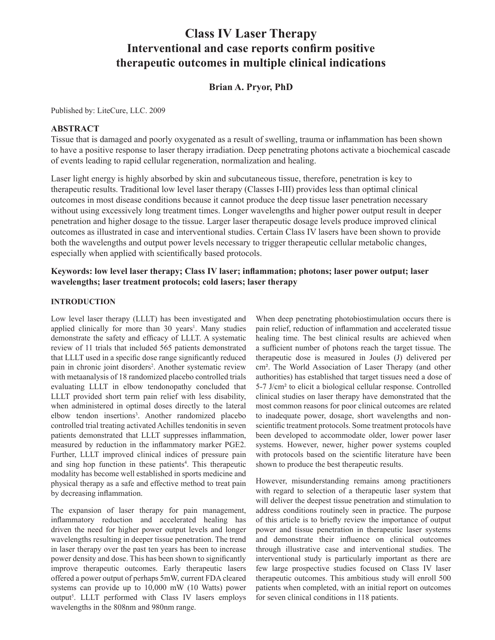# **Class IV Laser Therapy Interventional and case reports confirm positive therapeutic outcomes in multiple clinical indications**

# **Brian A. Pryor, PhD**

Published by: LiteCure, LLC. 2009

# **ABSTRACT**

Tissue that is damaged and poorly oxygenated as a result of swelling, trauma or inflammation has been shown to have a positive response to laser therapy irradiation. Deep penetrating photons activate a biochemical cascade of events leading to rapid cellular regeneration, normalization and healing.

Laser light energy is highly absorbed by skin and subcutaneous tissue, therefore, penetration is key to therapeutic results. Traditional low level laser therapy (Classes I-III) provides less than optimal clinical outcomes in most disease conditions because it cannot produce the deep tissue laser penetration necessary without using excessively long treatment times. Longer wavelengths and higher power output result in deeper penetration and higher dosage to the tissue. Larger laser therapeutic dosage levels produce improved clinical outcomes as illustrated in case and interventional studies. Certain Class IV lasers have been shown to provide both the wavelengths and output power levels necessary to trigger therapeutic cellular metabolic changes, especially when applied with scientifically based protocols.

# **Keywords: low level laser therapy; Class IV laser; inflammation; photons; laser power output; laser wavelengths; laser treatment protocols; cold lasers; laser therapy**

## **INTRODUCTION**

Low level laser therapy (LLLT) has been investigated and applied clinically for more than 30 years<sup>1</sup>. Many studies demonstrate the safety and efficacy of LLLT. A systematic review of 11 trials that included 565 patients demonstrated that LLLT used in a specific dose range significantly reduced pain in chronic joint disorders<sup>2</sup>. Another systematic review with metaanalysis of 18 randomized placebo controlled trials evaluating LLLT in elbow tendonopathy concluded that LLLT provided short term pain relief with less disability, when administered in optimal doses directly to the lateral elbow tendon insertions<sup>3</sup>. Another randomized placebo controlled trial treating activated Achilles tendonitis in seven patients demonstrated that LLLT suppresses inflammation, measured by reduction in the inflammatory marker PGE2. Further, LLLT improved clinical indices of pressure pain and sing hop function in these patients<sup>4</sup>. This therapeutic modality has become well established in sports medicine and physical therapy as a safe and effective method to treat pain by decreasing inflammation.

The expansion of laser therapy for pain management, inflammatory reduction and accelerated healing has driven the need for higher power output levels and longer wavelengths resulting in deeper tissue penetration. The trend in laser therapy over the past ten years has been to increase power density and dose. This has been shown to significantly improve therapeutic outcomes. Early therapeutic lasers offered a power output of perhaps 5mW, current FDA cleared systems can provide up to 10,000 mW (10 Watts) power output<sup>5</sup>. LLLT performed with Class IV lasers employs wavelengths in the 808nm and 980nm range.

When deep penetrating photobiostimulation occurs there is pain relief, reduction of inflammation and accelerated tissue healing time. The best clinical results are achieved when a sufficient number of photons reach the target tissue. The therapeutic dose is measured in Joules (J) delivered per cm². The World Association of Laser Therapy (and other authorities) has established that target tissues need a dose of 5-7 J/cm² to elicit a biological cellular response. Controlled clinical studies on laser therapy have demonstrated that the most common reasons for poor clinical outcomes are related to inadequate power, dosage, short wavelengths and nonscientific treatment protocols. Some treatment protocols have been developed to accommodate older, lower power laser systems. However, newer, higher power systems coupled with protocols based on the scientific literature have been shown to produce the best therapeutic results.

However, misunderstanding remains among practitioners with regard to selection of a therapeutic laser system that will deliver the deepest tissue penetration and stimulation to address conditions routinely seen in practice. The purpose of this article is to briefly review the importance of output power and tissue penetration in therapeutic laser systems and demonstrate their influence on clinical outcomes through illustrative case and interventional studies. The interventional study is particularly important as there are few large prospective studies focused on Class IV laser therapeutic outcomes. This ambitious study will enroll 500 patients when completed, with an initial report on outcomes for seven clinical conditions in 118 patients.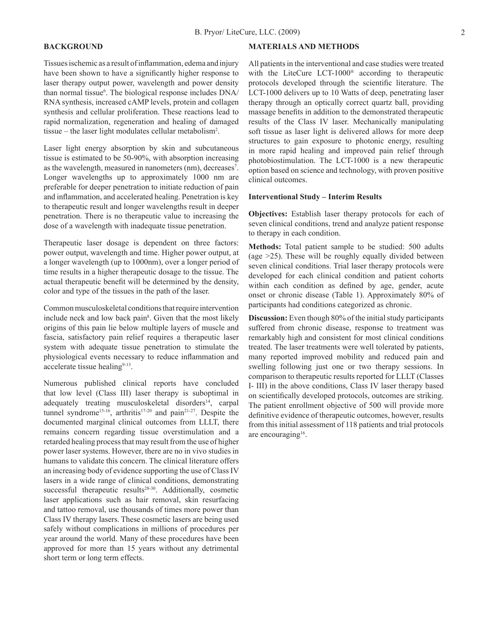## **BACKGROUND**

Tissues ischemic as a result of inflammation, edema and injury have been shown to have a significantly higher response to laser therapy output power, wavelength and power density than normal tissue<sup>6</sup>. The biological response includes DNA/ RNA synthesis, increased cAMP levels, protein and collagen synthesis and cellular proliferation. These reactions lead to rapid normalization, regeneration and healing of damaged tissue – the laser light modulates cellular metabolism2 .

Laser light energy absorption by skin and subcutaneous tissue is estimated to be 50-90%, with absorption increasing as the wavelength, measured in nanometers (nm), decreases<sup>7</sup>. Longer wavelengths up to approximately 1000 nm are preferable for deeper penetration to initiate reduction of pain and inflammation, and accelerated healing. Penetration is key to therapeutic result and longer wavelengths result in deeper penetration. There is no therapeutic value to increasing the dose of a wavelength with inadequate tissue penetration.

Therapeutic laser dosage is dependent on three factors: power output, wavelength and time. Higher power output, at a longer wavelength (up to 1000nm), over a longer period of time results in a higher therapeutic dosage to the tissue. The actual therapeutic benefit will be determined by the density, color and type of the tissues in the path of the laser.

Common musculoskeletal conditions that require intervention include neck and low back pain<sup>8</sup>. Given that the most likely origins of this pain lie below multiple layers of muscle and fascia, satisfactory pain relief requires a therapeutic laser system with adequate tissue penetration to stimulate the physiological events necessary to reduce inflammation and accelerate tissue healing<sup>9-13</sup>.

Numerous published clinical reports have concluded that low level (Class III) laser therapy is suboptimal in adequately treating musculoskeletal disorders $14$ , carpal tunnel syndrome<sup>15-16</sup>, arthritis<sup>17-20</sup> and pain<sup>21-27</sup>. Despite the documented marginal clinical outcomes from LLLT, there remains concern regarding tissue overstimulation and a retarded healing process that may result from the use of higher power laser systems. However, there are no in vivo studies in humans to validate this concern. The clinical literature offers an increasing body of evidence supporting the use of Class IV lasers in a wide range of clinical conditions, demonstrating successful therapeutic results $28-30$ . Additionally, cosmetic laser applications such as hair removal, skin resurfacing and tattoo removal, use thousands of times more power than Class IV therapy lasers. These cosmetic lasers are being used safely without complications in millions of procedures per year around the world. Many of these procedures have been approved for more than 15 years without any detrimental short term or long term effects.

#### **MATERIALS AND METHODS**

All patients in the interventional and case studies were treated with the LiteCure LCT-1000® according to therapeutic protocols developed through the scientific literature. The LCT-1000 delivers up to 10 Watts of deep, penetrating laser therapy through an optically correct quartz ball, providing massage benefits in addition to the demonstrated therapeutic results of the Class IV laser. Mechanically manipulating soft tissue as laser light is delivered allows for more deep structures to gain exposure to photonic energy, resulting in more rapid healing and improved pain relief through photobiostimulation. The LCT-1000 is a new therapeutic option based on science and technology, with proven positive clinical outcomes.

#### **Interventional Study – Interim Results**

**Objectives:** Establish laser therapy protocols for each of seven clinical conditions, trend and analyze patient response to therapy in each condition.

**Methods:** Total patient sample to be studied: 500 adults (age >25). These will be roughly equally divided between seven clinical conditions. Trial laser therapy protocols were developed for each clinical condition and patient cohorts within each condition as defined by age, gender, acute onset or chronic disease (Table 1). Approximately 80% of participants had conditions categorized as chronic.

**Discussion:** Even though 80% of the initial study participants suffered from chronic disease, response to treatment was remarkably high and consistent for most clinical conditions treated. The laser treatments were well tolerated by patients, many reported improved mobility and reduced pain and swelling following just one or two therapy sessions. In comparison to therapeutic results reported for LLLT (Classes I- III) in the above conditions, Class IV laser therapy based on scientifically developed protocols, outcomes are striking. The patient enrollment objective of 500 will provide more definitive evidence of therapeutic outcomes, however, results from this initial assessment of 118 patients and trial protocols are encouraging<sup>16</sup>.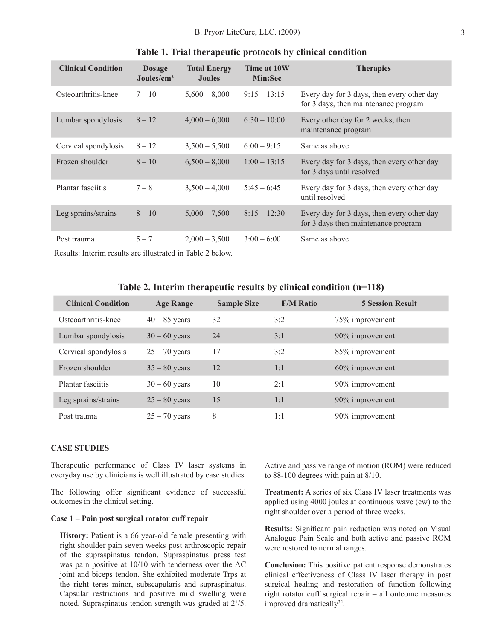| <b>Clinical Condition</b> | <b>Dosage</b><br>Joules/cm <sup>2</sup> | <b>Total Energy</b><br><b>Joules</b> | Time at 10W<br><b>Min:Sec</b> | <b>Therapies</b>                                                                   |
|---------------------------|-----------------------------------------|--------------------------------------|-------------------------------|------------------------------------------------------------------------------------|
| Osteoarthritis-knee       | $7 - 10$                                | $5,600 - 8,000$                      | $9:15 - 13:15$                | Every day for 3 days, then every other day<br>for 3 days, then maintenance program |
| Lumbar spondylosis        | $8 - 12$                                | $4,000 - 6,000$                      | $6:30 - 10:00$                | Every other day for 2 weeks, then<br>maintenance program                           |
| Cervical spondylosis      | $8 - 12$                                | $3,500 - 5,500$                      | $6:00 - 9:15$                 | Same as above                                                                      |
| Frozen shoulder           | $8 - 10$                                | $6,500 - 8,000$                      | $1:00 - 13:15$                | Every day for 3 days, then every other day<br>for 3 days until resolved            |
| Plantar fasciitis         | $7 - 8$                                 | $3,500 - 4,000$                      | $5:45 - 6:45$                 | Every day for 3 days, then every other day<br>until resolved                       |
| Leg sprains/strains       | $8 - 10$                                | $5,000 - 7,500$                      | $8:15 - 12:30$                | Every day for 3 days, then every other day<br>for 3 days then maintenance program  |
| Post trauma               | $5 - 7$                                 | $2,000 - 3,500$                      | $3:00 - 6:00$                 | Same as above                                                                      |

#### **Table 1. Trial therapeutic protocols by clinical condition**

Results: Interim results are illustrated in Table 2 below.

## **Table 2. Interim therapeutic results by clinical condition (n=118)**

| <b>Clinical Condition</b> | <b>Age Range</b> | <b>Sample Size</b> | <b>F/M Ratio</b> | <b>5 Session Result</b> |
|---------------------------|------------------|--------------------|------------------|-------------------------|
| Osteoarthritis-knee       | $40 - 85$ years  | 32                 | 3:2              | 75% improvement         |
| Lumbar spondylosis        | $30 - 60$ years  | 24                 | 3:1              | 90% improvement         |
| Cervical spondylosis      | $25 - 70$ years  | 17                 | 3:2              | 85% improvement         |
| Frozen shoulder           | $35 - 80$ years  | 12                 | 1:1              | 60% improvement         |
| Plantar fasciitis         | $30 - 60$ years  | 10                 | 2:1              | 90% improvement         |
| Leg sprains/strains       | $25 - 80$ years  | 15                 | 1:1              | 90% improvement         |
| Post trauma               | $25 - 70$ years  | 8                  | 1:1              | 90% improvement         |

## **CASE STUDIES**

Therapeutic performance of Class IV laser systems in everyday use by clinicians is well illustrated by case studies.

The following offer significant evidence of successful outcomes in the clinical setting.

#### **Case 1 – Pain post surgical rotator cuff repair**

**History:** Patient is a 66 year-old female presenting with right shoulder pain seven weeks post arthroscopic repair of the supraspinatus tendon. Supraspinatus press test was pain positive at 10/10 with tenderness over the AC joint and biceps tendon. She exhibited moderate Trps at the right teres minor, subscapularis and supraspinatus. Capsular restrictions and positive mild swelling were noted. Supraspinatus tendon strength was graded at  $2^{+/5}$ . Active and passive range of motion (ROM) were reduced to 88-100 degrees with pain at 8/10.

**Treatment:** A series of six Class IV laser treatments was applied using 4000 joules at continuous wave (cw) to the right shoulder over a period of three weeks.

**Results:** Significant pain reduction was noted on Visual Analogue Pain Scale and both active and passive ROM were restored to normal ranges.

**Conclusion:** This positive patient response demonstrates clinical effectiveness of Class IV laser therapy in post surgical healing and restoration of function following right rotator cuff surgical repair – all outcome measures improved dramatically<sup>32</sup>.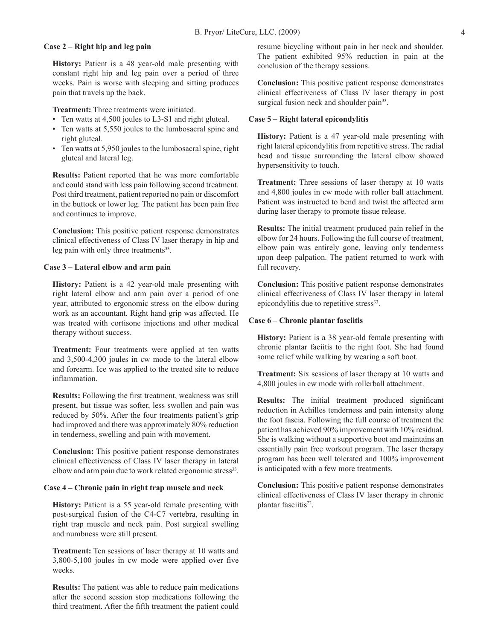## **Case 2 – Right hip and leg pain**

**History:** Patient is a 48 year-old male presenting with constant right hip and leg pain over a period of three weeks. Pain is worse with sleeping and sitting produces pain that travels up the back.

**Treatment:** Three treatments were initiated.

- Ten watts at 4,500 joules to L3-S1 and right gluteal.
- Ten watts at 5,550 joules to the lumbosacral spine and right gluteal.
- Ten watts at 5,950 joules to the lumbosacral spine, right gluteal and lateral leg.

**Results:** Patient reported that he was more comfortable and could stand with less pain following second treatment. Post third treatment, patient reported no pain or discomfort in the buttock or lower leg. The patient has been pain free and continues to improve.

**Conclusion:** This positive patient response demonstrates clinical effectiveness of Class IV laser therapy in hip and leg pain with only three treatments<sup>33</sup>.

## **Case 3 – Lateral elbow and arm pain**

**History:** Patient is a 42 year-old male presenting with right lateral elbow and arm pain over a period of one year, attributed to ergonomic stress on the elbow during work as an accountant. Right hand grip was affected. He was treated with cortisone injections and other medical therapy without success.

**Treatment:** Four treatments were applied at ten watts and 3,500-4,300 joules in cw mode to the lateral elbow and forearm. Ice was applied to the treated site to reduce inflammation.

**Results:** Following the first treatment, weakness was still present, but tissue was softer, less swollen and pain was reduced by 50%. After the four treatments patient's grip had improved and there was approximately 80% reduction in tenderness, swelling and pain with movement.

**Conclusion:** This positive patient response demonstrates clinical effectiveness of Class IV laser therapy in lateral elbow and arm pain due to work related ergonomic stress<sup>33</sup>.

### **Case 4 – Chronic pain in right trap muscle and neck**

**History:** Patient is a 55 year-old female presenting with post-surgical fusion of the C4-C7 vertebra, resulting in right trap muscle and neck pain. Post surgical swelling and numbness were still present.

**Treatment:** Ten sessions of laser therapy at 10 watts and 3,800-5,100 joules in cw mode were applied over five weeks.

**Results:** The patient was able to reduce pain medications after the second session stop medications following the third treatment. After the fifth treatment the patient could

resume bicycling without pain in her neck and shoulder. The patient exhibited 95% reduction in pain at the conclusion of the therapy sessions.

**Conclusion:** This positive patient response demonstrates clinical effectiveness of Class IV laser therapy in post surgical fusion neck and shoulder pain<sup>33</sup>.

#### **Case 5 – Right lateral epicondylitis**

**History:** Patient is a 47 year-old male presenting with right lateral epicondylitis from repetitive stress. The radial head and tissue surrounding the lateral elbow showed hypersensitivity to touch.

**Treatment:** Three sessions of laser therapy at 10 watts and 4,800 joules in cw mode with roller ball attachment. Patient was instructed to bend and twist the affected arm during laser therapy to promote tissue release.

**Results:** The initial treatment produced pain relief in the elbow for 24 hours. Following the full course of treatment, elbow pain was entirely gone, leaving only tenderness upon deep palpation. The patient returned to work with full recovery.

**Conclusion:** This positive patient response demonstrates clinical effectiveness of Class IV laser therapy in lateral epicondylitis due to repetitive stress<sup>33</sup>.

### **Case 6 – Chronic plantar fasciitis**

History: Patient is a 38 year-old female presenting with chronic plantar faciitis to the right foot. She had found some relief while walking by wearing a soft boot.

**Treatment:** Six sessions of laser therapy at 10 watts and 4,800 joules in cw mode with rollerball attachment.

**Results:** The initial treatment produced significant reduction in Achilles tenderness and pain intensity along the foot fascia. Following the full course of treatment the patient has achieved 90% improvement with 10% residual. She is walking without a supportive boot and maintains an essentially pain free workout program. The laser therapy program has been well tolerated and 100% improvement is anticipated with a few more treatments.

**Conclusion:** This positive patient response demonstrates clinical effectiveness of Class IV laser therapy in chronic plantar fasciitis<sup>22</sup>.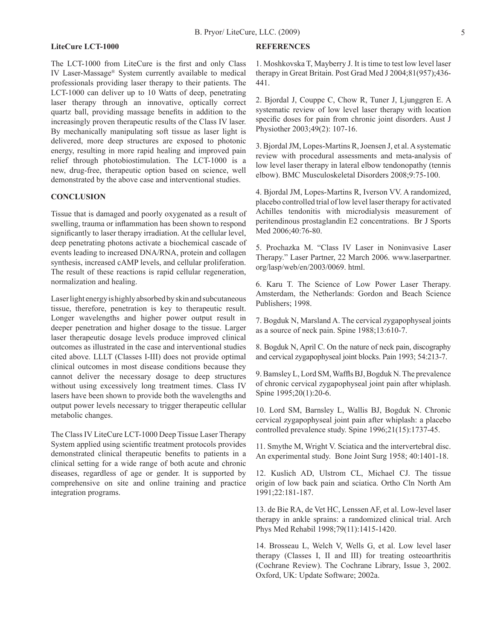### **LiteCure LCT-1000**

The LCT-1000 from LiteCure is the first and only Class IV Laser-Massage® System currently available to medical professionals providing laser therapy to their patients. The LCT-1000 can deliver up to 10 Watts of deep, penetrating laser therapy through an innovative, optically correct quartz ball, providing massage benefits in addition to the increasingly proven therapeutic results of the Class IV laser. By mechanically manipulating soft tissue as laser light is delivered, more deep structures are exposed to photonic energy, resulting in more rapid healing and improved pain relief through photobiostimulation. The LCT-1000 is a new, drug-free, therapeutic option based on science, well demonstrated by the above case and interventional studies.

## **CONCLUSION**

Tissue that is damaged and poorly oxygenated as a result of swelling, trauma or inflammation has been shown to respond significantly to laser therapy irradiation. At the cellular level, deep penetrating photons activate a biochemical cascade of events leading to increased DNA/RNA, protein and collagen synthesis, increased cAMP levels, and cellular proliferation. The result of these reactions is rapid cellular regeneration, normalization and healing.

Laser light energy is highly absorbed by skin and subcutaneous tissue, therefore, penetration is key to therapeutic result. Longer wavelengths and higher power output result in deeper penetration and higher dosage to the tissue. Larger laser therapeutic dosage levels produce improved clinical outcomes as illustrated in the case and interventional studies cited above. LLLT (Classes I-III) does not provide optimal clinical outcomes in most disease conditions because they cannot deliver the necessary dosage to deep structures without using excessively long treatment times. Class IV lasers have been shown to provide both the wavelengths and output power levels necessary to trigger therapeutic cellular metabolic changes.

The Class IV LiteCure LCT-1000 Deep Tissue Laser Therapy System applied using scientific treatment protocols provides demonstrated clinical therapeutic benefits to patients in a clinical setting for a wide range of both acute and chronic diseases, regardless of age or gender. It is supported by comprehensive on site and online training and practice integration programs.

#### **REFERENCES**

1. Moshkovska T, Mayberry J. It is time to test low level laser therapy in Great Britain. Post Grad Med J 2004;81(957);436- 441.

2. Bjordal J, Couppe C, Chow R, Tuner J, Ljunggren E. A systematic review of low level laser therapy with location specific doses for pain from chronic joint disorders. Aust J Physiother 2003;49(2): 107-16.

3. Bjordal JM, Lopes-Martins R, Joensen J, et al. A systematic review with procedural assessments and meta-analysis of low level laser therapy in lateral elbow tendonopathy (tennis elbow). BMC Musculoskeletal Disorders 2008;9:75-100.

4. Bjordal JM, Lopes-Martins R, Iverson VV. A randomized, placebo controlled trial of low level laser therapy for activated Achilles tendonitis with microdialysis measurement of peritendinous prostaglandin E2 concentrations. Br J Sports Med 2006;40:76-80.

5. Prochazka M. "Class IV Laser in Noninvasive Laser Therapy." Laser Partner, 22 March 2006. www.laserpartner. org/lasp/web/en/2003/0069. html.

6. Karu T. The Science of Low Power Laser Therapy. Amsterdam, the Netherlands: Gordon and Beach Science Publishers; 1998.

7. Bogduk N, Marsland A. The cervical zygapophyseal joints as a source of neck pain. Spine 1988;13:610-7.

8. Bogduk N, April C. On the nature of neck pain, discography and cervical zygapophyseal joint blocks. Pain 1993; 54:213-7.

9. Bamsley L, Lord SM, Waffls BJ, Bogduk N. The prevalence of chronic cervical zygapophyseal joint pain after whiplash. Spine 1995;20(1):20-6.

10. Lord SM, Barnsley L, Wallis BJ, Bogduk N. Chronic cervical zygapophyseal joint pain after whiplash: a placebo controlled prevalence study. Spine 1996;21(15):1737-45.

11. Smythe M, Wright V. Sciatica and the intervertebral disc. An experimental study. Bone Joint Surg 1958; 40:1401-18.

12. Kuslich AD, Ulstrom CL, Michael CJ. The tissue origin of low back pain and sciatica. Ortho Cln North Am 1991;22:181-187.

13. de Bie RA, de Vet HC, Lenssen AF, et al. Low-level laser therapy in ankle sprains: a randomized clinical trial. Arch Phys Med Rehabil 1998;79(11):1415-1420.

14. Brosseau L, Welch V, Wells G, et al. Low level laser therapy (Classes I, II and III) for treating osteoarthritis (Cochrane Review). The Cochrane Library, Issue 3, 2002. Oxford, UK: Update Software; 2002a.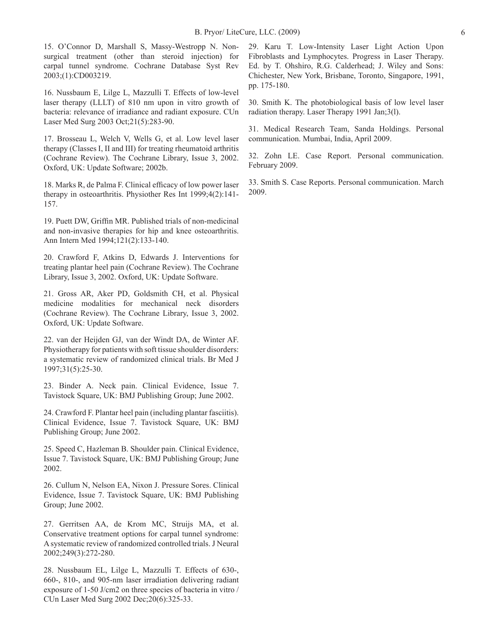15. O'Connor D, Marshall S, Massy-Westropp N. Nonsurgical treatment (other than steroid injection) for carpal tunnel syndrome. Cochrane Database Syst Rev 2003;(1):CD003219.

16. Nussbaum E, Lilge L, Mazzulli T. Effects of low-level laser therapy (LLLT) of 810 nm upon in vitro growth of bacteria: relevance of irradiance and radiant exposure. CUn Laser Med Surg 2003 Oct;21(5):283-90.

17. Brosseau L, Welch V, Wells G, et al. Low level laser therapy (Classes I, II and III) for treating rheumatoid arthritis (Cochrane Review). The Cochrane Library, Issue 3, 2002. Oxford, UK: Update Software; 2002b.

18. Marks R, de Palma F. Clinical efficacy of low power laser therapy in osteoarthritis. Physiother Res Int 1999;4(2):141- 157.

19. Puett DW, Griffin MR. Published trials of non-medicinal and non-invasive therapies for hip and knee osteoarthritis. Ann Intern Med 1994;121(2):133-140.

20. Crawford F, Atkins D, Edwards J. Interventions for treating plantar heel pain (Cochrane Review). The Cochrane Library, Issue 3, 2002. Oxford, UK: Update Software.

21. Gross AR, Aker PD, Goldsmith CH, et al. Physical medicine modalities for mechanical neck disorders (Cochrane Review). The Cochrane Library, Issue 3, 2002. Oxford, UK: Update Software.

22. van der Heijden GJ, van der Windt DA, de Winter AF. Physiotherapy for patients with soft tissue shoulder disorders: a systematic review of randomized clinical trials. Br Med J 1997;31(5):25-30.

23. Binder A. Neck pain. Clinical Evidence, Issue 7. Tavistock Square, UK: BMJ Publishing Group; June 2002.

24. Crawford F. Plantar heel pain (including plantar fasciitis). Clinical Evidence, Issue 7. Tavistock Square, UK: BMJ Publishing Group; June 2002.

25. Speed C, Hazleman B. Shoulder pain. Clinical Evidence, Issue 7. Tavistock Square, UK: BMJ Publishing Group; June 2002.

26. Cullum N, Nelson EA, Nixon J. Pressure Sores. Clinical Evidence, Issue 7. Tavistock Square, UK: BMJ Publishing Group; June 2002.

27. Gerritsen AA, de Krom MC, Struijs MA, et al. Conservative treatment options for carpal tunnel syndrome: A systematic review of randomized controlled trials. J Neural 2002;249(3):272-280.

28. Nussbaum EL, Lilge L, Mazzulli T. Effects of 630-, 660-, 810-, and 905-nm laser irradiation delivering radiant exposure of 1-50 J/cm2 on three species of bacteria in vitro / CUn Laser Med Surg 2002 Dec;20(6):325-33.

29. Karu T. Low-Intensity Laser Light Action Upon Fibroblasts and Lymphocytes. Progress in Laser Therapy. Ed. by T. Ohshiro, R.G. Calderhead; J. Wiley and Sons: Chichester, New York, Brisbane, Toronto, Singapore, 1991, pp. 175-180.

30. Smith K. The photobiological basis of low level laser radiation therapy. Laser Therapy 1991 Jan;3(l).

31. Medical Research Team, Sanda Holdings. Personal communication. Mumbai, India, April 2009.

32. Zohn LE. Case Report. Personal communication. February 2009.

33. Smith S. Case Reports. Personal communication. March 2009.